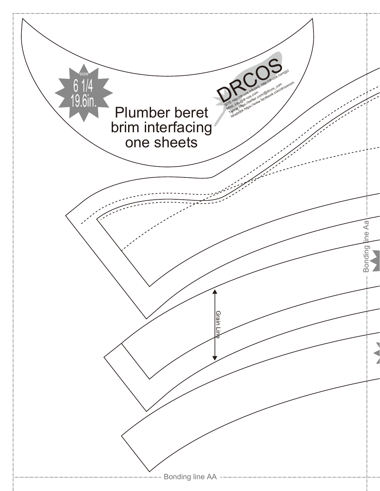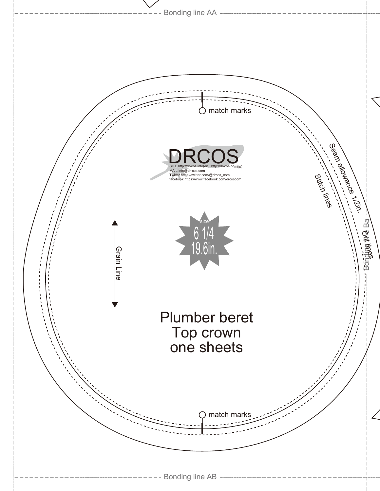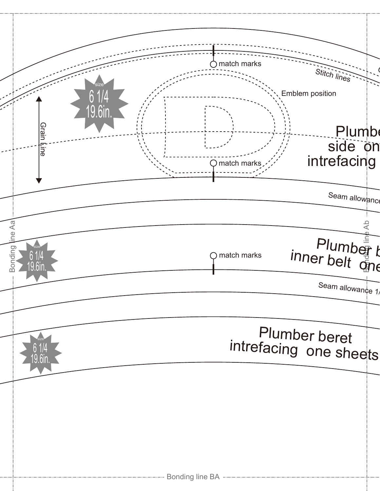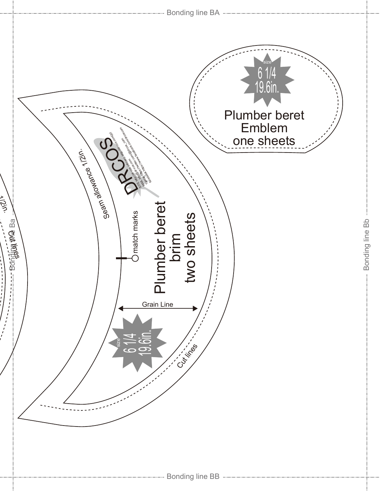